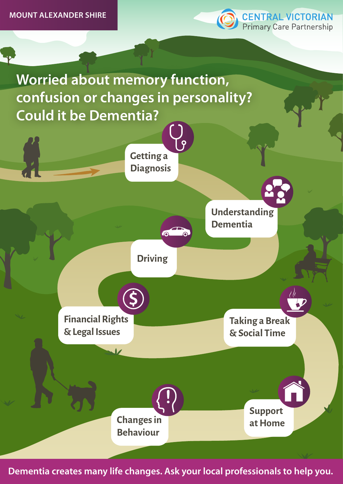

**Worried about memory function, confusion or changes in personality? Could it be Dementia?**



**Dementia creates many life changes. Ask your local professionals to help you.**